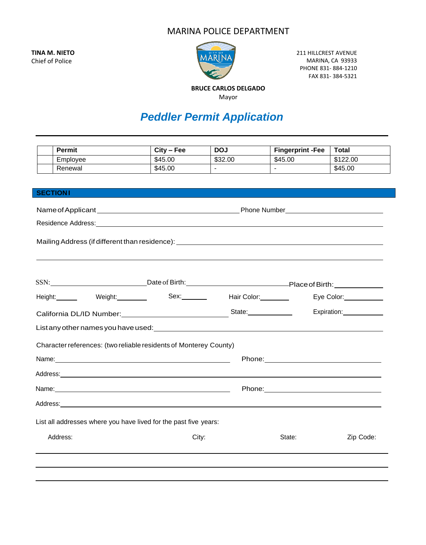## MARINA POLICE DEPARTMENT

**TINA M. NIETO** Chief of Police



211 HILLCREST AVENUE MARINA, CA 93933 PHONE 831- 884-1210 FAX 831- 384-5321

**BRUCE CARLOS DELGADO** Mayor

## *Peddler Permit Application*

| <b>Permit</b>                                                                                                                                                                                                                  | $City - Fee$ | <b>DOJ</b>   | <b>Fingerprint -Fee</b>                                                                                                                                                                                                        | <b>Total</b>             |  |  |
|--------------------------------------------------------------------------------------------------------------------------------------------------------------------------------------------------------------------------------|--------------|--------------|--------------------------------------------------------------------------------------------------------------------------------------------------------------------------------------------------------------------------------|--------------------------|--|--|
| Employee                                                                                                                                                                                                                       | \$45.00      | \$32.00      | \$45.00                                                                                                                                                                                                                        | \$122.00                 |  |  |
| Renewal                                                                                                                                                                                                                        | \$45.00      | $\mathbf{r}$ | $\Delta$                                                                                                                                                                                                                       | \$45.00                  |  |  |
|                                                                                                                                                                                                                                |              |              |                                                                                                                                                                                                                                |                          |  |  |
| <b>SECTIONI</b>                                                                                                                                                                                                                |              |              |                                                                                                                                                                                                                                |                          |  |  |
|                                                                                                                                                                                                                                |              |              |                                                                                                                                                                                                                                |                          |  |  |
| Residence Address: New York Street, New York Street, New York Street, New York Street, New York Street, New York Street, New York Street, New York Street, New York Street, New York Street, New York Street, New York Street, |              |              |                                                                                                                                                                                                                                |                          |  |  |
|                                                                                                                                                                                                                                |              |              |                                                                                                                                                                                                                                |                          |  |  |
| Mailing Address (if different than residence): __________________________________                                                                                                                                              |              |              |                                                                                                                                                                                                                                |                          |  |  |
|                                                                                                                                                                                                                                |              |              |                                                                                                                                                                                                                                |                          |  |  |
|                                                                                                                                                                                                                                |              |              |                                                                                                                                                                                                                                |                          |  |  |
| SSN: ______________________________Date of Birth: ________________________________Place of Birth: _______________                                                                                                              |              |              |                                                                                                                                                                                                                                |                          |  |  |
| Height: Weight: Weight: Sex: Hair Color: Weight:                                                                                                                                                                               |              |              |                                                                                                                                                                                                                                | Eye Color: _____________ |  |  |
|                                                                                                                                                                                                                                |              |              |                                                                                                                                                                                                                                |                          |  |  |
| California DL/ID Number: State: State: State: State: State: State: State: State: State: State: State: State: State: State: State: State: State: State: State: State: State: State: State: State: State: State: State: State: S |              |              |                                                                                                                                                                                                                                | Expiration: 2000         |  |  |
| List any other names you have used: <b>All any other and the set of the set of the set of the set of the set of th</b>                                                                                                         |              |              |                                                                                                                                                                                                                                |                          |  |  |
| Character references: (two reliable residents of Monterey County)                                                                                                                                                              |              |              |                                                                                                                                                                                                                                |                          |  |  |
|                                                                                                                                                                                                                                |              |              |                                                                                                                                                                                                                                |                          |  |  |
|                                                                                                                                                                                                                                |              |              | Phone: Note: Note: Note: Note: Note: Note: Note: Note: Note: Note: Note: Note: Note: Note: Note: Note: Note: Note: Note: Note: Note: Note: Note: Note: Note: Note: Note: Note: Note: Note: Note: Note: Note: Note: Note: Note: |                          |  |  |
| Address: Note that the contract of the contract of the contract of the contract of the contract of the contract of the contract of the contract of the contract of the contract of the contract of the contract of the contrac |              |              |                                                                                                                                                                                                                                |                          |  |  |
|                                                                                                                                                                                                                                |              |              |                                                                                                                                                                                                                                |                          |  |  |
|                                                                                                                                                                                                                                |              |              |                                                                                                                                                                                                                                |                          |  |  |
|                                                                                                                                                                                                                                |              |              |                                                                                                                                                                                                                                |                          |  |  |
| List all addresses where you have lived for the past five years:                                                                                                                                                               |              |              |                                                                                                                                                                                                                                |                          |  |  |
| Address:                                                                                                                                                                                                                       | City:        |              | State:                                                                                                                                                                                                                         | Zip Code:                |  |  |
|                                                                                                                                                                                                                                |              |              |                                                                                                                                                                                                                                |                          |  |  |
|                                                                                                                                                                                                                                |              |              |                                                                                                                                                                                                                                |                          |  |  |
|                                                                                                                                                                                                                                |              |              |                                                                                                                                                                                                                                |                          |  |  |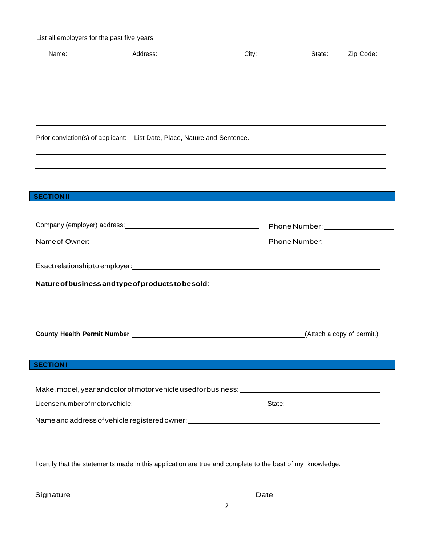List all employers for the past five years:

| Name:            | Address:                                                                                                  | City: | State:                                                                                                                                                                                                                        | Zip Code:                  |
|------------------|-----------------------------------------------------------------------------------------------------------|-------|-------------------------------------------------------------------------------------------------------------------------------------------------------------------------------------------------------------------------------|----------------------------|
|                  |                                                                                                           |       |                                                                                                                                                                                                                               |                            |
|                  |                                                                                                           |       |                                                                                                                                                                                                                               |                            |
|                  |                                                                                                           |       |                                                                                                                                                                                                                               |                            |
|                  | Prior conviction(s) of applicant: List Date, Place, Nature and Sentence.                                  |       |                                                                                                                                                                                                                               |                            |
|                  |                                                                                                           |       |                                                                                                                                                                                                                               |                            |
| <b>SECTIONII</b> |                                                                                                           |       |                                                                                                                                                                                                                               |                            |
|                  |                                                                                                           |       | Phone Number: Name of Allen and Allen and Allen and Allen and Allen and Allen and Allen and Allen and Allen and Allen and Allen and Allen and Allen and Allen and Allen and Allen and Allen and Allen and Allen and Allen and |                            |
|                  |                                                                                                           |       | Phone Number: ____________________                                                                                                                                                                                            |                            |
|                  |                                                                                                           |       |                                                                                                                                                                                                                               |                            |
|                  |                                                                                                           |       |                                                                                                                                                                                                                               |                            |
|                  |                                                                                                           |       |                                                                                                                                                                                                                               |                            |
|                  |                                                                                                           |       |                                                                                                                                                                                                                               | (Attach a copy of permit.) |
| <b>SECTIONI</b>  |                                                                                                           |       |                                                                                                                                                                                                                               |                            |
|                  |                                                                                                           |       |                                                                                                                                                                                                                               |                            |
|                  | License number of motor vehicle: _________________________                                                |       | State:________________________                                                                                                                                                                                                |                            |
|                  | Name and address of vehicle registered owner: __________________________________                          |       |                                                                                                                                                                                                                               |                            |
|                  |                                                                                                           |       |                                                                                                                                                                                                                               |                            |
|                  | I certify that the statements made in this application are true and complete to the best of my knowledge. |       |                                                                                                                                                                                                                               |                            |

Signature Date